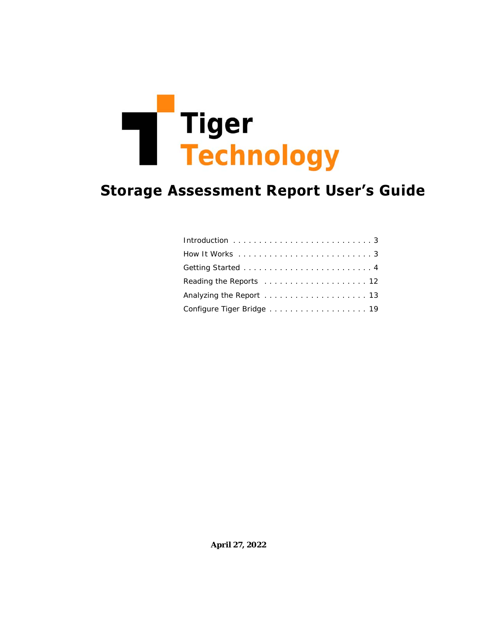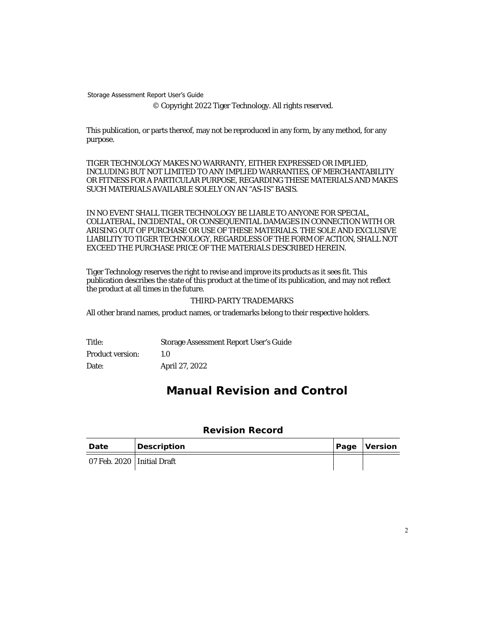© Copyright 2022 Tiger Technology. All rights reserved.

This publication, or parts thereof, may not be reproduced in any form, by any method, for any purpose.

TIGER TECHNOLOGY MAKES NO WARRANTY, EITHER EXPRESSED OR IMPLIED, INCLUDING BUT NOT LIMITED TO ANY IMPLIED WARRANTIES, OF MERCHANTABILITY OR FITNESS FOR A PARTICULAR PURPOSE, REGARDING THESE MATERIALS AND MAKES SUCH MATERIALS AVAILABLE SOLELY ON AN "AS-IS" BASIS.

IN NO EVENT SHALL TIGER TECHNOLOGY BE LIABLE TO ANYONE FOR SPECIAL, COLLATERAL, INCIDENTAL, OR CONSEQUENTIAL DAMAGES IN CONNECTION WITH OR ARISING OUT OF PURCHASE OR USE OF THESE MATERIALS. THE SOLE AND EXCLUSIVE LIABILITY TO TIGER TECHNOLOGY, REGARDLESS OF THE FORM OF ACTION, SHALL NOT EXCEED THE PURCHASE PRICE OF THE MATERIALS DESCRIBED HEREIN.

Tiger Technology reserves the right to revise and improve its products as it sees fit. This publication describes the state of this product at the time of its publication, and may not reflect the product at all times in the future.

#### THIRD-PARTY TRADEMARKS

All other brand names, product names, or trademarks belong to their respective holders.

Title: Storage Assessment Report User's Guide Product version: 1.0 Date: April 27, 2022

# **Manual Revision and Control**

### **Revision Record**

| Date                         | Description | Page Version |
|------------------------------|-------------|--------------|
| 07 Feb. 2020   Initial Draft |             |              |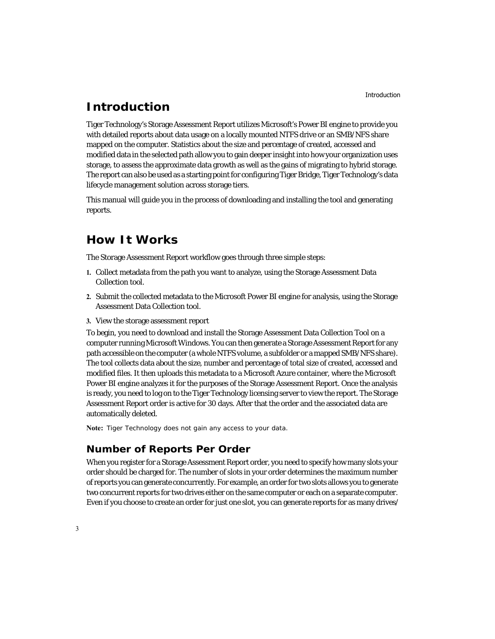# <span id="page-2-1"></span>**Introduction**

Tiger Technology's Storage Assessment Report utilizes Microsoft's Power BI engine to provide you with detailed reports about data usage on a locally mounted NTFS drive or an SMB/NFS share mapped on the computer. Statistics about the size and percentage of created, accessed and modified data in the selected path allow you to gain deeper insight into how your organization uses storage, to assess the approximate data growth as well as the gains of migrating to hybrid storage. The report can also be used as a starting point for configuring Tiger Bridge, Tiger Technology's data lifecycle management solution across storage tiers.

This manual will guide you in the process of downloading and installing the tool and generating reports.

# <span id="page-2-0"></span>**How It Works**

The Storage Assessment Report workflow goes through three simple steps:

- **1.** Collect metadata from the path you want to analyze, using the Storage Assessment Data Collection tool.
- **2.** Submit the collected metadata to the Microsoft Power BI engine for analysis, using the Storage Assessment Data Collection tool.
- **3.** View the storage assessment report

To begin, you need to download and install the Storage Assessment Data Collection Tool on a computer running Microsoft Windows. You can then generate a Storage Assessment Report for any path accessible on the computer (a whole NTFS volume, a subfolder or a mapped SMB/NFS share). The tool collects data about the size, number and percentage of total size of created, accessed and modified files. It then uploads this metadata to a Microsoft Azure container, where the Microsoft Power BI engine analyzes it for the purposes of the Storage Assessment Report. Once the analysis is ready, you need to log on to the Tiger Technology licensing server to view the report. The Storage Assessment Report order is active for 30 days. After that the order and the associated data are automatically deleted.

**Note:** *Tiger Technology does not gain any access to your data.*

### **Number of Reports Per Order**

When you register for a Storage Assessment Report order, you need to specify how many slots your order should be charged for. The number of slots in your order determines the maximum number of reports you can generate concurrently. For example, an order for two slots allows you to generate two concurrent reports for two drives either on the same computer or each on a separate computer. Even if you choose to create an order for just one slot, you can generate reports for as many drives/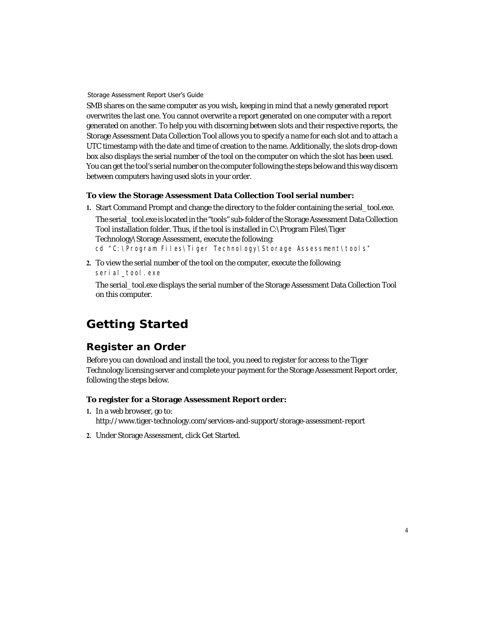SMB shares on the same computer as you wish, keeping in mind that a newly generated report overwrites the last one. You cannot overwrite a report generated on one computer with a report generated on another. To help you with discerning between slots and their respective reports, the Storage Assessment Data Collection Tool allows you to specify a name for each slot and to attach a UTC timestamp with the date and time of creation to the name. Additionally, the slots drop-down box also displays the serial number of the tool on the computer on which the slot has been used. You can get the tool's serial number on the computer following the steps below and this way discern between computers having used slots in your order.

### **To view the Storage Assessment Data Collection Tool serial number:**

**1.** Start Command Prompt and change the directory to the folder containing the serial\_tool.exe.

The serial\_tool.exe is located in the "tools" sub-folder of the Storage Assessment Data Collection Tool installation folder. Thus, if the tool is installed in C:\Program Files\Tiger Technology\Storage Assessment, execute the following: cd "C:\Program Files\Tiger Technology\Storage Assessment\tools"

**2.** To view the serial number of the tool on the computer, execute the following: serial\_tool.exe

The serial\_tool.exe displays the serial number of the Storage Assessment Data Collection Tool on this computer.

# <span id="page-3-0"></span>**Getting Started**

### **Register an Order**

Before you can download and install the tool, you need to register for access to the Tiger Technology licensing server and complete your payment for the Storage Assessment Report order, following the steps below.

### **To register for a Storage Assessment Report order:**

- **1.** In a web browser, go to: http://www.tiger-technology.com/services-and-support/storage-assessment-report
- **2.** Under Storage Assessment, click Get Started.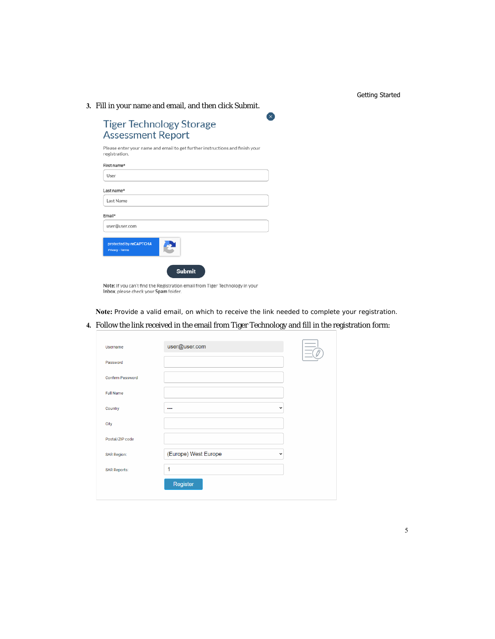**3.** Fill in your name and email, and then click Submit.

| ×<br><b>Tiger Technology Storage</b><br><b>Assessment Report</b>                                                      |  |  |  |  |  |  |
|-----------------------------------------------------------------------------------------------------------------------|--|--|--|--|--|--|
| Please enter your name and email to get further instructions and finish your<br>registration.                         |  |  |  |  |  |  |
| First name*                                                                                                           |  |  |  |  |  |  |
| User                                                                                                                  |  |  |  |  |  |  |
| Last name*                                                                                                            |  |  |  |  |  |  |
| Last Name                                                                                                             |  |  |  |  |  |  |
| Email*                                                                                                                |  |  |  |  |  |  |
| user@user.com                                                                                                         |  |  |  |  |  |  |
| protected by reCAPTCHA<br>Privacy - Terms                                                                             |  |  |  |  |  |  |
| <b>Submit</b>                                                                                                         |  |  |  |  |  |  |
| Note: If you can't find the Registration email from Tiger Technology in your<br>Inbox, please check your Spam folder. |  |  |  |  |  |  |

**Note:** *Provide a valid email, on which to receive the link needed to complete your registration.*

**4.** Follow the link received in the email from Tiger Technology and fill in the registration form:

| Username                | user@user.com            |              |
|-------------------------|--------------------------|--------------|
| Password                |                          |              |
| <b>Confirm Password</b> |                          |              |
| <b>Full Name</b>        |                          |              |
| Country                 | $\overline{\phantom{a}}$ | $\checkmark$ |
| City                    |                          |              |
| Postal/ZIP code         |                          |              |
| <b>SAR Region:</b>      | (Europe) West Europe     | $\checkmark$ |
| <b>SAR Reports:</b>     | 1                        |              |
|                         | Register                 |              |
|                         |                          |              |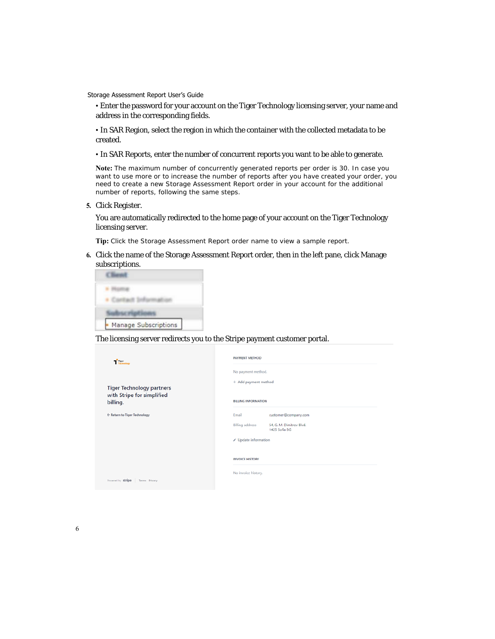• Enter the password for your account on the Tiger Technology licensing server, your name and address in the corresponding fields.

• In SAR Region, select the region in which the container with the collected metadata to be created.

• In SAR Reports, enter the number of concurrent reports you want to be able to generate.

**Note:** *The maximum number of concurrently generated reports per order is 30. In case you want to use more or to increase the number of reports after you have created your order, you need to create a new Storage Assessment Report order in your account for the additional number of reports, following the same steps.*

**5.** Click Register.

You are automatically redirected to the home page of your account on the Tiger Technology licensing server.

**Tip:** *Click the Storage Assessment Report order name to view a sample report.*

**6.** Click the name of the Storage Assessment Report order, then in the left pane, click Manage subscriptions.

| Manage Subscriptions |
|----------------------|

The licensing server redirects you to the Stripe payment customer portal.

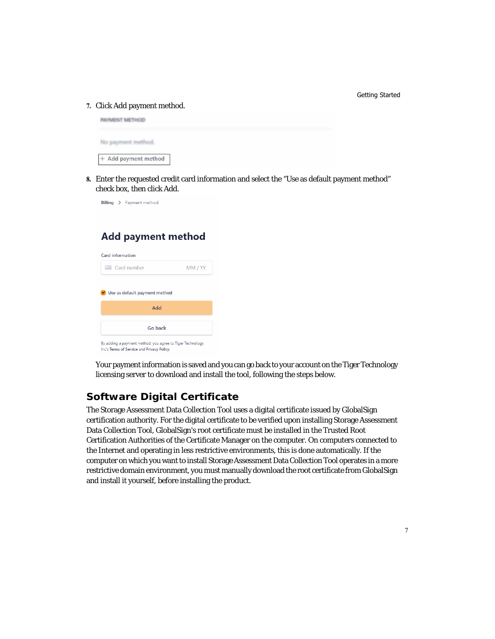#### **7.** Click Add payment method.



**8.** Enter the requested credit card information and select the "Use as default payment method" check box, then click Add.



# **Add payment method**

| - Card number                 | MM / YY |
|-------------------------------|---------|
| Use as default payment method |         |
| Add                           |         |
| Go back                       |         |

Your payment information is saved and you can go back to your account on the Tiger Technology licensing server to download and install the tool, following the steps below.

## **Software Digital Certificate**

The Storage Assessment Data Collection Tool uses a digital certificate issued by GlobalSign certification authority. For the digital certificate to be verified upon installing Storage Assessment Data Collection Tool, GlobalSign's root certificate must be installed in the Trusted Root Certification Authorities of the Certificate Manager on the computer. On computers connected to the Internet and operating in less restrictive environments, this is done automatically. If the computer on which you want to install Storage Assessment Data Collection Tool operates in a more restrictive domain environment, you must manually download the root certificate from GlobalSign and install it yourself, before installing the product.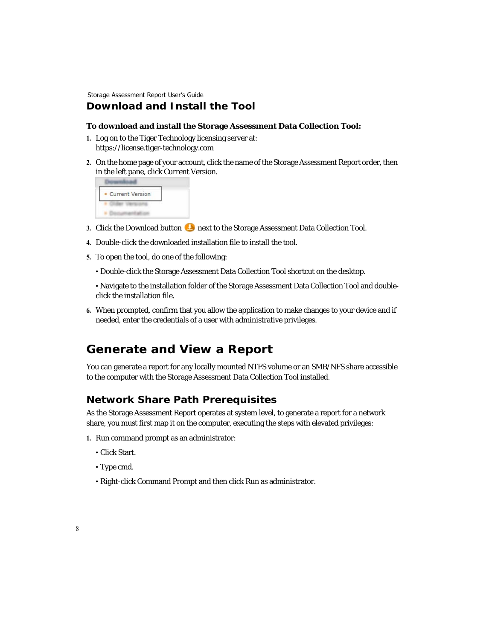### **Download and Install the Tool**

#### **To download and install the Storage Assessment Data Collection Tool:**

- **1.** Log on to the Tiger Technology licensing server at: https://license.tiger-technology.com
- **2.** On the home page of your account, click the name of the Storage Assessment Report order, then in the left pane, click Current Version.



- **3.** Click the Download button **1** next to the Storage Assessment Data Collection Tool.
- **4.** Double-click the downloaded installation file to install the tool.
- **5.** To open the tool, do one of the following:
	- Double-click the Storage Assessment Data Collection Tool shortcut on the desktop.

• Navigate to the installation folder of the Storage Assessment Data Collection Tool and doubleclick the installation file.

**6.** When prompted, confirm that you allow the application to make changes to your device and if needed, enter the credentials of a user with administrative privileges.

# **Generate and View a Report**

You can generate a report for any locally mounted NTFS volume or an SMB/NFS share accessible to the computer with the Storage Assessment Data Collection Tool installed.

### **Network Share Path Prerequisites**

As the Storage Assessment Report operates at system level, to generate a report for a network share, you must first map it on the computer, executing the steps with elevated privileges:

- **1.** Run command prompt as an administrator:
	- Click Start.
	- Type cmd.
	- Right-click Command Prompt and then click Run as administrator.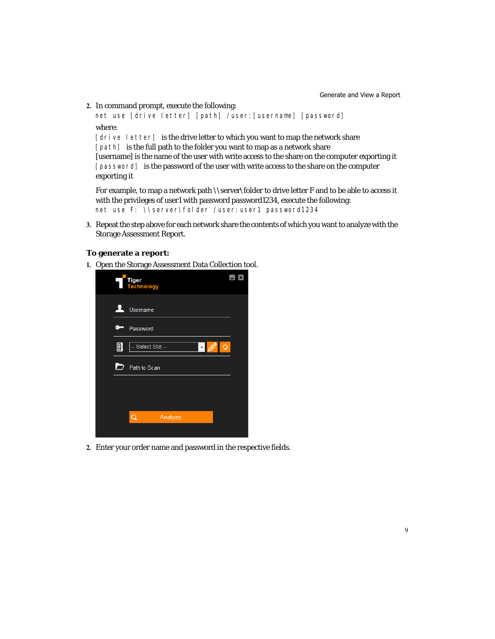**2.** In command prompt, execute the following:

```
net use [drive letter] [path] /user:[username] [password]
where:
```
[drive letter] is the drive letter to which you want to map the network share [path] is the full path to the folder you want to map as a network share [username] is the name of the user with write access to the share on the computer exporting it [password] is the password of the user with write access to the share on the computer exporting it

For example, to map a network path \\server\folder to drive letter F and to be able to access it with the privileges of user1 with password password1234, execute the following: net use F: \\server\folder /user: user1 password1234

**3.** Repeat the step above for each network share the contents of which you want to analyze with the Storage Assessment Report.

#### <span id="page-8-0"></span>**To generate a report:**

**1.** Open the Storage Assessment Data Collection tool.



**2.** Enter your order name and password in the respective fields.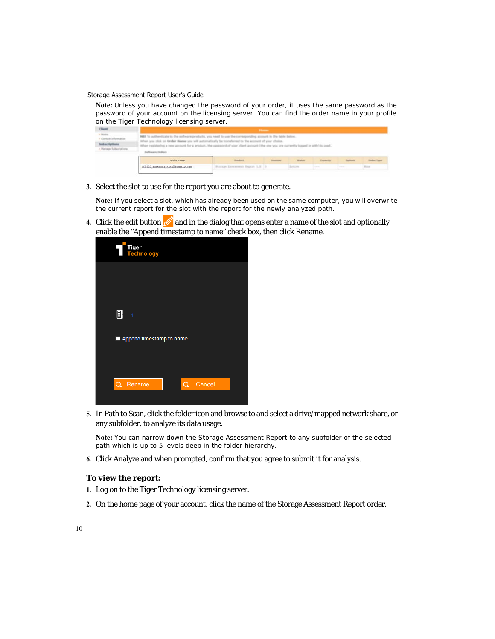**Note:** *Unless you have changed the password of your order, it uses the same password as the password of your account on the licensing server. You can find the order name in your profile on the Tiger Technology licensing server.*

| Client                                                                        |                                                                                                                                                                                                                                                                                       |                                                                                              |                |                                                                                                                           |                                                                                                |  |
|-------------------------------------------------------------------------------|---------------------------------------------------------------------------------------------------------------------------------------------------------------------------------------------------------------------------------------------------------------------------------------|----------------------------------------------------------------------------------------------|----------------|---------------------------------------------------------------------------------------------------------------------------|------------------------------------------------------------------------------------------------|--|
| + Homa<br>Contact In<br><b>Telescriptions</b><br><b>Harrage Subscriptions</b> | NBI To authoriticate to the software products, you need to use the corresponding account in the table below.<br>When registering a new account for a product, the password of your client account (the one you are currently logged in with) is seed.<br><b>Buildings are Gardens</b> | you click on Ordan Name you will automatically be transferred to the account of your choice. |                |                                                                                                                           |                                                                                                |  |
|                                                                               | Order Name                                                                                                                                                                                                                                                                            | <b>Bloodback</b>                                                                             |                |                                                                                                                           |                                                                                                |  |
|                                                                               | 462429 customer nameBooxmany.com                                                                                                                                                                                                                                                      | Persage Leesseement Depart 1.3 11                                                            | <b>Artists</b> | $\frac{1}{2} \left( \frac{1}{2} \right) \left( \frac{1}{2} \right) \left( \frac{1}{2} \right) \left( \frac{1}{2} \right)$ | $\frac{1}{2} \left( \frac{1}{2} \right) \left( \frac{1}{2} \right) \left( \frac{1}{2} \right)$ |  |

**3.** Select the slot to use for the report you are about to generate.

**Note:** *If you select a slot, which has already been used on the same computer, you will overwrite the current report for the slot with the report for the newly analyzed path.*

**4.** Click the edit button  $\oslash$  and in the dialog that opens enter a name of the slot and optionally enable the "Append timestamp to name" check box, then click Rename.

| <b>Tiger<br/>Technology</b>   |
|-------------------------------|
|                               |
|                               |
| 卧<br>$\mathbf{1}$             |
| Append timestamp to name<br>П |
| Cancel                        |
| Q.<br>Rename<br>Q             |

**5.** In Path to Scan, click the folder icon and browse to and select a drive/mapped network share, or any subfolder, to analyze its data usage.

**Note:** *You can narrow down the Storage Assessment Report to any subfolder of the selected path which is up to 5 levels deep in the folder hierarchy.*

**6.** Click Analyze and when prompted, confirm that you agree to submit it for analysis.

#### **To view the report:**

- **1.** Log on to the Tiger Technology licensing server.
- **2.** On the home page of your account, click the name of the Storage Assessment Report order.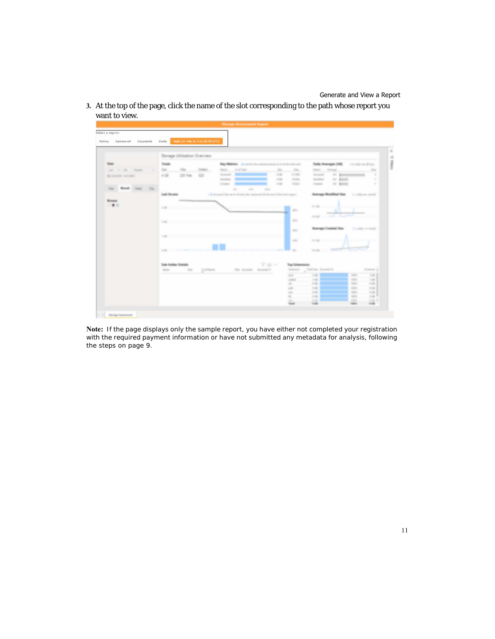**3.** At the top of the page, click the name of the slot corresponding to the path whose report you want to view.



**Note:** *If the page displays only the sample report, you have either not completed your registration*  with the required payment information or have not submitted any metadata for analysis, following *the steps [on page 9.](#page-8-0)*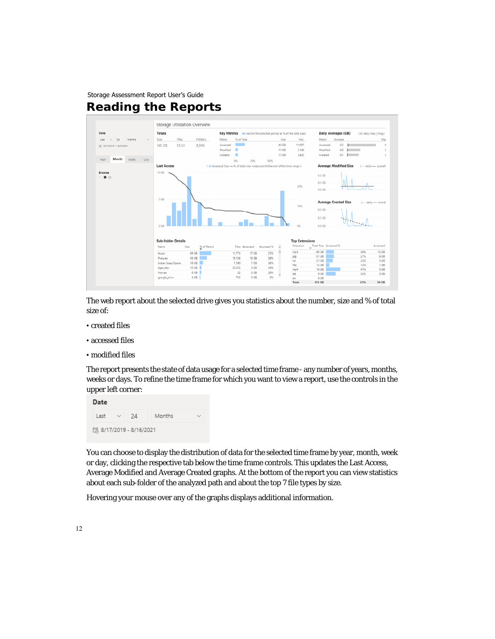<span id="page-11-0"></span>

The web report about the selected drive gives you statistics about the number, size and % of total size of:

- created files
- accessed files
- modified files

The report presents the state of data usage for a selected time frame - any number of years, months, weeks or days. To refine the time frame for which you want to view a report, use the controls in the upper left corner:



You can choose to display the distribution of data for the selected time frame by year, month, week or day, clicking the respective tab below the time frame controls. This updates the Last Access, Average Modified and Average Created graphs. At the bottom of the report you can view statistics about each sub-folder of the analyzed path and about the top 7 file types by size.

Hovering your mouse over any of the graphs displays additional information.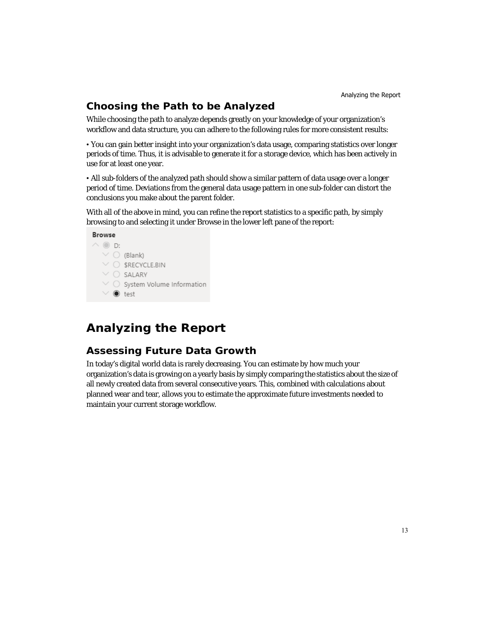# **Choosing the Path to be Analyzed**

While choosing the path to analyze depends greatly on your knowledge of your organization's workflow and data structure, you can adhere to the following rules for more consistent results:

• You can gain better insight into your organization's data usage, comparing statistics over longer periods of time. Thus, it is advisable to generate it for a storage device, which has been actively in use for at least one year.

• All sub-folders of the analyzed path should show a similar pattern of data usage over a longer period of time. Deviations from the general data usage pattern in one sub-folder can distort the conclusions you make about the parent folder.

With all of the above in mind, you can refine the report statistics to a specific path, by simply browsing to and selecting it under Browse in the lower left pane of the report:



# <span id="page-12-0"></span>**Analyzing the Report**

## <span id="page-12-1"></span>**Assessing Future Data Growth**

In today's digital world data is rarely decreasing. You can estimate by how much your organization's data is growing on a yearly basis by simply comparing the statistics about the size of all newly created data from several consecutive years. This, combined with calculations about planned wear and tear, allows you to estimate the approximate future investments needed to maintain your current storage workflow.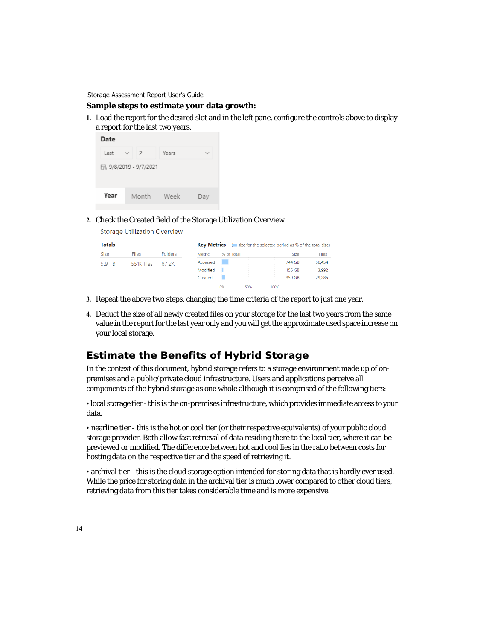#### **Sample steps to estimate your data growth:**

**1.** Load the report for the desired slot and in the left pane, configure the controls above to display a report for the last two years.



**2.** Check the Created field of the Storage Utilization Overview.

| <b>Files</b> | <b>Folders</b> | <b>Metric</b> |                    |            | <b>Size</b> | Files                                                 |
|--------------|----------------|---------------|--------------------|------------|-------------|-------------------------------------------------------|
| 551K files   | 87 2K          | Accessed      |                    |            | 744 GB      | 50,454                                                |
|              |                | Modified      |                    |            | 155 GB      | 13,992                                                |
|              |                | Created       |                    |            | 359 GB      | 29.285                                                |
|              |                |               | <b>Key Metrics</b> | % of Total |             | (size for the selected period as % of the total size) |

- **3.** Repeat the above two steps, changing the time criteria of the report to just one year.
- **4.** Deduct the size of all newly created files on your storage for the last two years from the same value in the report for the last year only and you will get the approximate used space increase on your local storage.

## **Estimate the Benefits of Hybrid Storage**

In the context of this document, hybrid storage refers to a storage environment made up of onpremises and a public/private cloud infrastructure. Users and applications perceive all components of the hybrid storage as one whole although it is comprised of the following tiers:

• local storage tier - this is the on-premises infrastructure, which provides immediate access to your data.

• nearline tier - this is the hot or cool tier (or their respective equivalents) of your public cloud storage provider. Both allow fast retrieval of data residing there to the local tier, where it can be previewed or modified. The difference between hot and cool lies in the ratio between costs for hosting data on the respective tier and the speed of retrieving it.

• archival tier - this is the cloud storage option intended for storing data that is hardly ever used. While the price for storing data in the archival tier is much lower compared to other cloud tiers, retrieving data from this tier takes considerable time and is more expensive.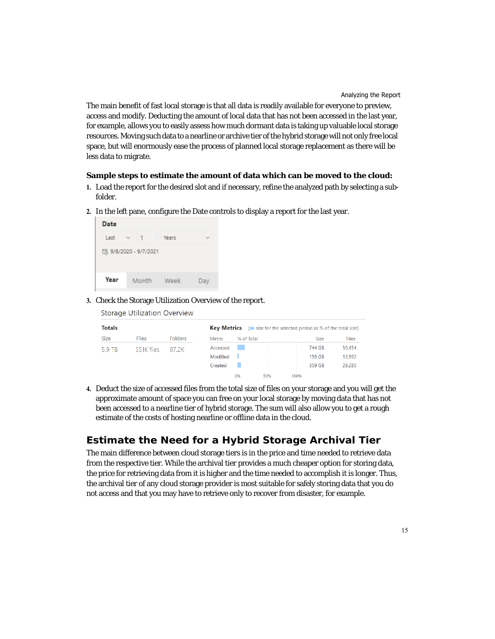The main benefit of fast local storage is that all data is readily available for everyone to preview, access and modify. Deducting the amount of local data that has not been accessed in the last year, for example, allows you to easily assess how much dormant data is taking up valuable local storage resources. Moving such data to a nearline or archive tier of the hybrid storage will not only free local space, but will enormously ease the process of planned local storage replacement as there will be less data to migrate.

#### **Sample steps to estimate the amount of data which can be moved to the cloud:**

- **1.** Load the report for the desired slot and if necessary, refine the analyzed path by selecting a subfolder.
- **2.** In the left pane, configure the Date controls to display a report for the last year.

| Date                   |                   |       |             |  |  |  |
|------------------------|-------------------|-------|-------------|--|--|--|
| Last                   | 1<br>$\checkmark$ | Years | $\check{ }$ |  |  |  |
| [3 9/8/2020 - 9/7/2021 |                   |       |             |  |  |  |
| Year                   | Month             | Week  | Dav         |  |  |  |

**3.** Check the Storage Utilization Overview of the report.

| <b>Storage Utilization Overview</b> |  |
|-------------------------------------|--|
|                                     |  |

| <b>Totals</b> |              |                |          |            | <b>Key Metrics</b> $($ <b> size for the selected period as % of the total size)</b> |      |             |              |
|---------------|--------------|----------------|----------|------------|-------------------------------------------------------------------------------------|------|-------------|--------------|
| <b>Size</b>   | <b>Files</b> | <b>Folders</b> | Metric   | % of Total |                                                                                     |      | <b>Size</b> | <b>Files</b> |
| 5.9 TB        | 551K files   | 87.2K          | Accessed |            |                                                                                     |      | 744 GB      | 50,454       |
|               |              |                | Modified |            |                                                                                     |      | 155 GB      | 13.992       |
|               |              |                | Created  |            |                                                                                     |      | 359 GB      | 29,285       |
|               |              |                |          | 0%         | $\sim$<br>50%                                                                       | 100% |             |              |

**4.** Deduct the size of accessed files from the total size of files on your storage and you will get the approximate amount of space you can free on your local storage by moving data that has not been accessed to a nearline tier of hybrid storage. The sum will also allow you to get a rough estimate of the costs of hosting nearline or offline data in the cloud.

# **Estimate the Need for a Hybrid Storage Archival Tier**

The main difference between cloud storage tiers is in the price and time needed to retrieve data from the respective tier. While the archival tier provides a much cheaper option for storing data, the price for retrieving data from it is higher and the time needed to accomplish it is longer. Thus, the archival tier of any cloud storage provider is most suitable for safely storing data that you do not access and that you may have to retrieve only to recover from disaster, for example.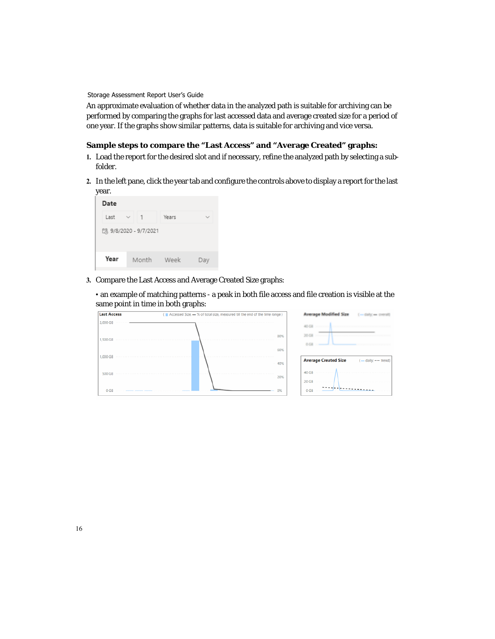An approximate evaluation of whether data in the analyzed path is suitable for archiving can be performed by comparing the graphs for last accessed data and average created size for a period of one year. If the graphs show similar patterns, data is suitable for archiving and vice versa.

### **Sample steps to compare the "Last Access" and "Average Created" graphs:**

- **1.** Load the report for the desired slot and if necessary, refine the analyzed path by selecting a subfolder.
- **2.** In the left pane, click the year tab and configure the controls above to display a report for the last year.



**3.** Compare the Last Access and Average Created Size graphs:

• an example of matching patterns - a peak in both file access and file creation is visible at the same point in time in both graphs:

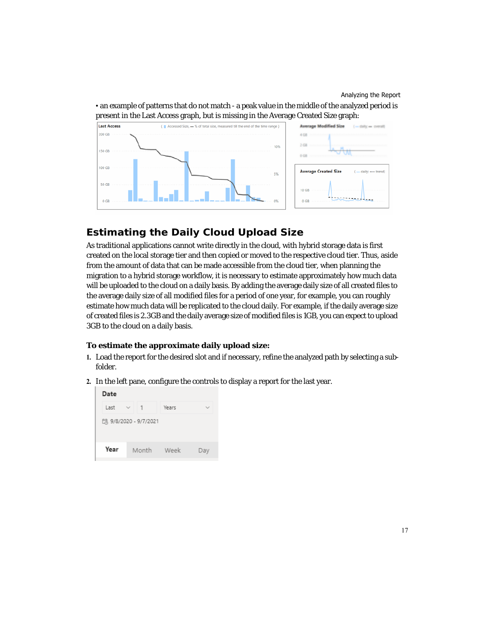• an example of patterns that do not match - a peak value in the middle of the analyzed period is present in the Last Access graph, but is missing in the Average Created Size graph:



### **Estimating the Daily Cloud Upload Size**

As traditional applications cannot write directly in the cloud, with hybrid storage data is first created on the local storage tier and then copied or moved to the respective cloud tier. Thus, aside from the amount of data that can be made accessible from the cloud tier, when planning the migration to a hybrid storage workflow, it is necessary to estimate approximately how much data will be uploaded to the cloud on a daily basis. By adding the average daily size of all created files to the average daily size of all modified files for a period of one year, for example, you can roughly estimate how much data will be replicated to the cloud daily. For example, if the daily average size of created files is 2.3GB and the daily average size of modified files is 1GB, you can expect to upload 3GB to the cloud on a daily basis.

### **To estimate the approximate daily upload size:**

- **1.** Load the report for the desired slot and if necessary, refine the analyzed path by selecting a subfolder.
- **2.** In the left pane, configure the controls to display a report for the last year.

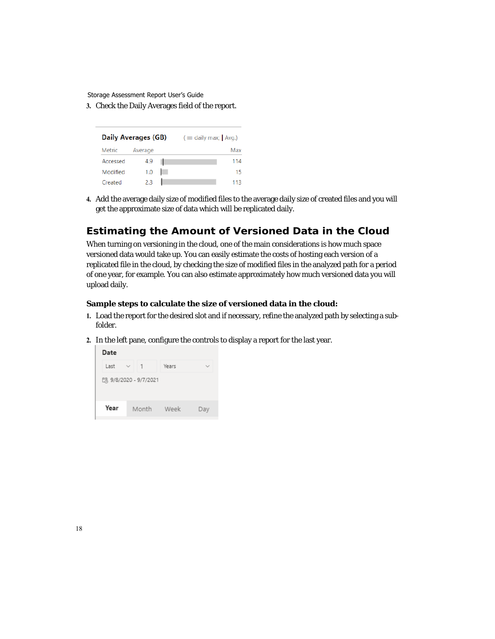**3.** Check the Daily Averages field of the report.

|          | Daily Averages (GB) | $\left($ $\blacksquare$ daily max; $\blacksquare$ Avg.) |     |  |  |
|----------|---------------------|---------------------------------------------------------|-----|--|--|
| Metric   | Average             |                                                         | Max |  |  |
| Accessed | 4.9                 |                                                         | 114 |  |  |
| Modified | 1.0                 |                                                         | 15  |  |  |
| Created  | 2.3                 |                                                         | 113 |  |  |

**4.** Add the average daily size of modified files to the average daily size of created files and you will get the approximate size of data which will be replicated daily.

### **Estimating the Amount of Versioned Data in the Cloud**

When turning on versioning in the cloud, one of the main considerations is how much space versioned data would take up. You can easily estimate the costs of hosting each version of a replicated file in the cloud, by checking the size of modified files in the analyzed path for a period of one year, for example. You can also estimate approximately how much versioned data you will upload daily.

### **Sample steps to calculate the size of versioned data in the cloud:**

- **1.** Load the report for the desired slot and if necessary, refine the analyzed path by selecting a subfolder.
- **2.** In the left pane, configure the controls to display a report for the last year.

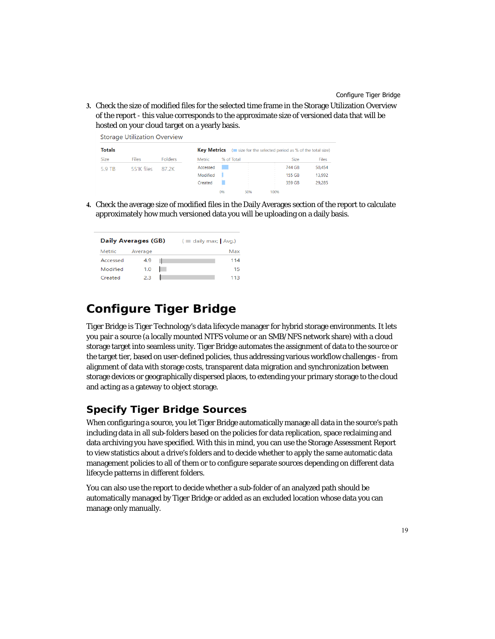**3.** Check the size of modified files for the selected time frame in the Storage Utilization Overview of the report - this value corresponds to the approximate size of versioned data that will be hosted on your cloud target on a yearly basis.

| <b>Storage Utilization Overview</b> |              |                                                                             |          |            |     |      |             |              |
|-------------------------------------|--------------|-----------------------------------------------------------------------------|----------|------------|-----|------|-------------|--------------|
| <b>Totals</b>                       |              | <b>Key Metrics</b><br>(size for the selected period as % of the total size) |          |            |     |      |             |              |
| <b>Size</b>                         | <b>Files</b> | <b>Folders</b>                                                              | Metric   | % of Total |     |      | <b>Size</b> | <b>Files</b> |
| 5.9 TB                              | 551K files   | 87 2K                                                                       | Accessed |            |     |      | 744 GB      | 50,454       |
|                                     |              |                                                                             | Modified |            |     |      | 155 GB      | 13,992       |
|                                     |              |                                                                             | Created  |            |     |      | 359 GB      | 29.285       |
|                                     |              |                                                                             |          | 0%         | 50% | 100% |             |              |

**4.** Check the average size of modified files in the Daily Averages section of the report to calculate approximately how much versioned data you will be uploading on a daily basis.

| <b>Daily Averages (GB)</b> |         | $\left($ $\blacksquare$ daily max; $\blacksquare$ Avg.) |     |  |  |
|----------------------------|---------|---------------------------------------------------------|-----|--|--|
| Metric                     | Average |                                                         | Max |  |  |
| Accessed                   | 4.9     |                                                         | 114 |  |  |
| Modified                   | 1.0     |                                                         | 15  |  |  |
| Created                    | 2.3     |                                                         | 113 |  |  |

# <span id="page-18-0"></span>**Configure Tiger Bridge**

Tiger Bridge is Tiger Technology's data lifecycle manager for hybrid storage environments. It lets you pair a source (a locally mounted NTFS volume or an SMB/NFS network share) with a cloud storage target into seamless unity. Tiger Bridge automates the assignment of data to the source or the target tier, based on user-defined policies, thus addressing various workflow challenges - from alignment of data with storage costs, transparent data migration and synchronization between storage devices or geographically dispersed places, to extending your primary storage to the cloud and acting as a gateway to object storage.

### **Specify Tiger Bridge Sources**

When configuring a source, you let Tiger Bridge automatically manage all data in the source's path including data in all sub-folders based on the policies for data replication, space reclaiming and data archiving you have specified. With this in mind, you can use the Storage Assessment Report to view statistics about a drive's folders and to decide whether to apply the same automatic data management policies to all of them or to configure separate sources depending on different data lifecycle patterns in different folders.

You can also use the report to decide whether a sub-folder of an analyzed path should be automatically managed by Tiger Bridge or added as an excluded location whose data you can manage only manually.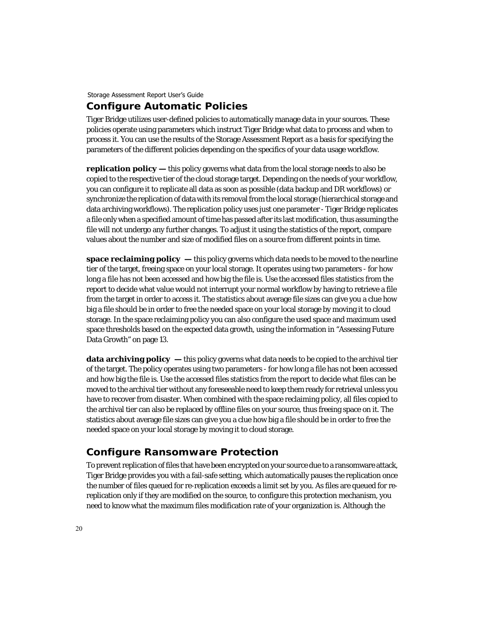### **Configure Automatic Policies**

Tiger Bridge utilizes user-defined policies to automatically manage data in your sources. These policies operate using parameters which instruct Tiger Bridge what data to process and when to process it. You can use the results of the Storage Assessment Report as a basis for specifying the parameters of the different policies depending on the specifics of your data usage workflow.

**replication policy —** this policy governs what data from the local storage needs to also be copied to the respective tier of the cloud storage target. Depending on the needs of your workflow, you can configure it to replicate all data as soon as possible (data backup and DR workflows) or synchronize the replication of data with its removal from the local storage (hierarchical storage and data archiving workflows). The replication policy uses just one parameter - Tiger Bridge replicates a file only when a specified amount of time has passed after its last modification, thus assuming the file will not undergo any further changes. To adjust it using the statistics of the report, compare values about the number and size of modified files on a source from different points in time.

**space reclaiming policy —** this policy governs which data needs to be moved to the nearline tier of the target, freeing space on your local storage. It operates using two parameters - for how long a file has not been accessed and how big the file is. Use the accessed files statistics from the report to decide what value would not interrupt your normal workflow by having to retrieve a file from the target in order to access it. The statistics about average file sizes can give you a clue how big a file should be in order to free the needed space on your local storage by moving it to cloud storage. In the space reclaiming policy you can also configure the used space and maximum used space thresholds based on the expected data growth, using the information in ["Assessing Future](#page-12-1)  [Data Growth" on page 13.](#page-12-1)

**data archiving policy** — this policy governs what data needs to be copied to the archival tier of the target. The policy operates using two parameters - for how long a file has not been accessed and how big the file is. Use the accessed files statistics from the report to decide what files can be moved to the archival tier without any foreseeable need to keep them ready for retrieval unless you have to recover from disaster. When combined with the space reclaiming policy, all files copied to the archival tier can also be replaced by offline files on your source, thus freeing space on it. The statistics about average file sizes can give you a clue how big a file should be in order to free the needed space on your local storage by moving it to cloud storage.

### **Configure Ransomware Protection**

To prevent replication of files that have been encrypted on your source due to a ransomware attack, Tiger Bridge provides you with a fail-safe setting, which automatically pauses the replication once the number of files queued for re-replication exceeds a limit set by you. As files are queued for rereplication only if they are modified on the source, to configure this protection mechanism, you need to know what the maximum files modification rate of your organization is. Although the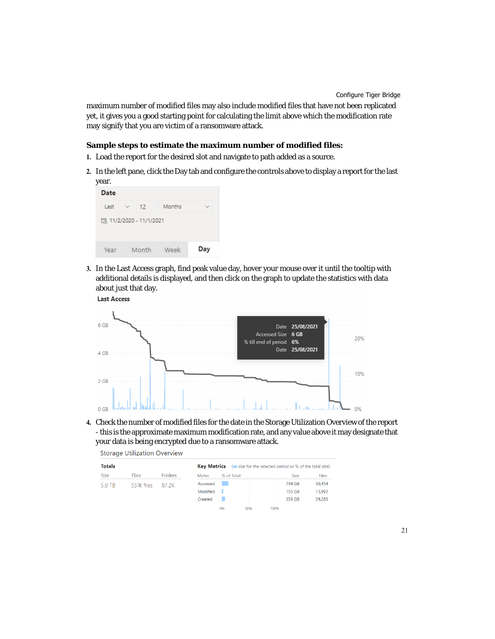maximum number of modified files may also include modified files that have not been replicated yet, it gives you a good starting point for calculating the limit above which the modification rate may signify that you are victim of a ransomware attack.

#### **Sample steps to estimate the maximum number of modified files:**

- **1.** Load the report for the desired slot and navigate to path added as a source.
- **2.** In the left pane, click the Day tab and configure the controls above to display a report for the last year.



**3.** In the Last Access graph, find peak value day, hover your mouse over it until the tooltip with additional details is displayed, and then click on the graph to update the statistics with data about just that day.





**4.** Check the number of modified files for the date in the Storage Utilization Overview of the report - this is the approximate maximum modification rate, and any value above it may designate that your data is being encrypted due to a ransomware attack.

| <b>Storage Utilization Overview</b> |              |                                                                             |          |            |     |                  |             |              |
|-------------------------------------|--------------|-----------------------------------------------------------------------------|----------|------------|-----|------------------|-------------|--------------|
| <b>Totals</b>                       |              | <b>Kev Metrics</b><br>(size for the selected period as % of the total size) |          |            |     |                  |             |              |
| <b>Size</b>                         | <b>Files</b> | <b>Folders</b>                                                              | Metric   | % of Total |     |                  | <b>Size</b> | <b>Files</b> |
| 5.9 TB                              | 551K files   | 87 2K                                                                       | Accessed |            |     | $\sim$           | 744 GB      | 50,454       |
|                                     |              |                                                                             | Modified |            |     | $\sim$           | 155 GB      | 13,992       |
|                                     |              |                                                                             | Created  |            |     | $\sim$<br>$\sim$ | 359 GB      | 29.285       |
|                                     |              |                                                                             |          | 0%         | 50% | 100%             |             |              |